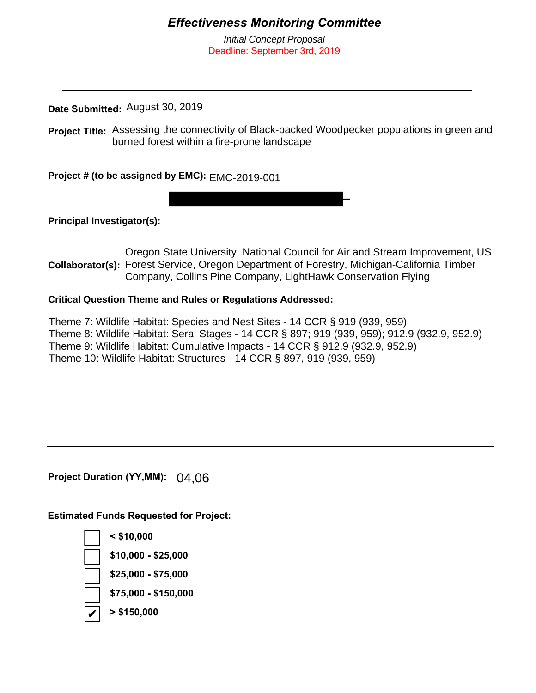## *Effectiveness Monitoring Committee*

*Initial Concept Proposal* Deadline: September 3rd, 2019

**Date Submitted:**  August 30, 2019

Project Title: Assessing the connectivity of Black-backed Woodpecker populations in green and burned forest within a fire-prone landscape

**Project # (to be assigned by EMC):** EMC-2019-001

**Principal Investigator(s):** 

Collaborator(s): Forest Service, Oregon Department of Forestry, Michigan-California Timber Oregon State University, National Council for Air and Stream Improvement, US Company, Collins Pine Company, LightHawk Conservation Flying

## **Critical Question Theme and Rules or Regulations Addressed:**

Theme 7: Wildlife Habitat: Species and Nest Sites - 14 CCR § 919 (939, 959) Theme 8: Wildlife Habitat: Seral Stages - 14 CCR § 897; 919 (939, 959); 912.9 (932.9, 952.9) Theme 9: Wildlife Habitat: Cumulative Impacts - 14 CCR § 912.9 (932.9, 952.9) Theme 10: Wildlife Habitat: Structures - 14 CCR § 897, 919 (939, 959)

**Project Duration (YY,MM):** 04,06

**Estimated Funds Requested for Project:**